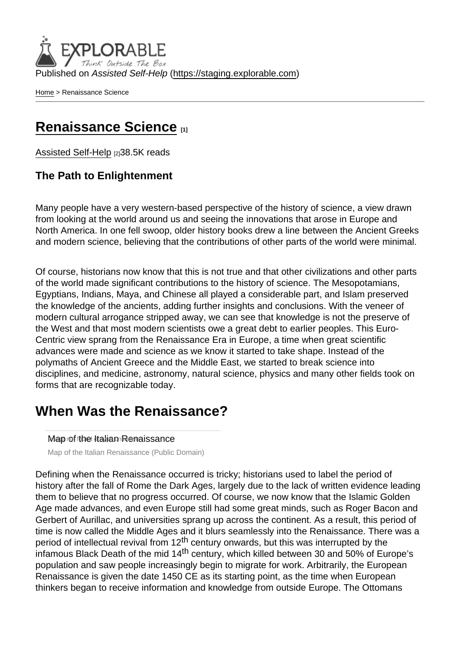Published on Assisted Self-Help [\(https://staging.explorable.com](https://staging.explorable.com))

[Home](https://staging.explorable.com/en) > Renaissance Science

### [Renaissance Science](https://staging.explorable.com/en/renaissance-science) [1]

[Assisted Self-Help](https://staging.explorable.com/en) [2]38.5K reads

The Path to Enlightenment

Many people have a very western-based perspective of the history of science, a view drawn from looking at the world around us and seeing the innovations that arose in Europe and North America. In one fell swoop, older history books drew a line between the Ancient Greeks and modern science, believing that the contributions of other parts of the world were minimal.

Of course, historians now know that this is not true and that other civilizations and other parts of the world made significant contributions to the history of science. The Mesopotamians, Egyptians, Indians, Maya, and Chinese all played a considerable part, and Islam preserved the knowledge of the ancients, adding further insights and conclusions. With the veneer of modern cultural arrogance stripped away, we can see that knowledge is not the preserve of the West and that most modern scientists owe a great debt to earlier peoples. This Euro-Centric view sprang from the Renaissance Era in Europe, a time when great scientific advances were made and science as we know it started to take shape. Instead of the polymaths of Ancient Greece and the Middle East, we started to break science into disciplines, and medicine, astronomy, natural science, physics and many other fields took on forms that are recognizable today.

### When Was the Renaissance?

Map of the Italian Renaissance

Map of the Italian Renaissance (Public Domain)

Defining when the Renaissance occurred is tricky; historians used to label the period of history after the fall of Rome the Dark Ages, largely due to the lack of written evidence leading them to believe that no progress occurred. Of course, we now know that the Islamic Golden Age made advances, and even Europe still had some great minds, such as Roger Bacon and Gerbert of Aurillac, and universities sprang up across the continent. As a result, this period of time is now called the Middle Ages and it blurs seamlessly into the Renaissance. There was a period of intellectual revival from  $12^{th}$  century onwards, but this was interrupted by the infamous Black Death of the mid  $14<sup>th</sup>$  century, which killed between 30 and 50% of Europe's population and saw people increasingly begin to migrate for work. Arbitrarily, the European Renaissance is given the date 1450 CE as its starting point, as the time when European thinkers began to receive information and knowledge from outside Europe. The Ottomans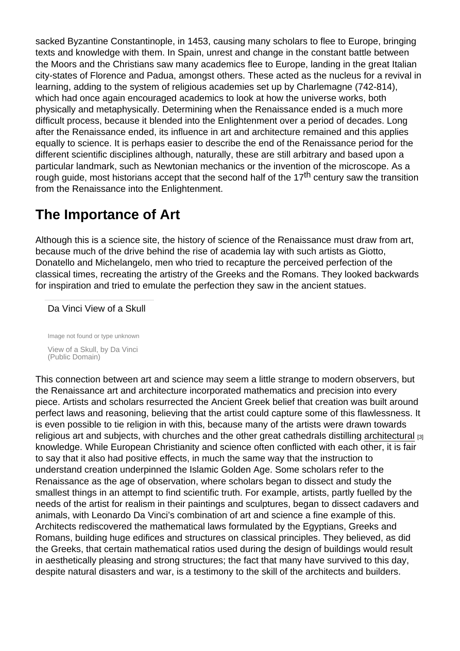sacked Byzantine Constantinople, in 1453, causing many scholars to flee to Europe, bringing texts and knowledge with them. In Spain, unrest and change in the constant battle between the Moors and the Christians saw many academics flee to Europe, landing in the great Italian city-states of Florence and Padua, amongst others. These acted as the nucleus for a revival in learning, adding to the system of religious academies set up by Charlemagne (742-814), which had once again encouraged academics to look at how the universe works, both physically and metaphysically. Determining when the Renaissance ended is a much more difficult process, because it blended into the Enlightenment over a period of decades. Long after the Renaissance ended, its influence in art and architecture remained and this applies equally to science. It is perhaps easier to describe the end of the Renaissance period for the different scientific disciplines although, naturally, these are still arbitrary and based upon a particular landmark, such as Newtonian mechanics or the invention of the microscope. As a rough guide, most historians accept that the second half of the 17<sup>th</sup> century saw the transition from the Renaissance into the Enlightenment.

# The Importance of Art

Although this is a science site, the history of science of the Renaissance must draw from art, because much of the drive behind the rise of academia lay with such artists as Giotto, Donatello and Michelangelo, men who tried to recapture the perceived perfection of the classical times, recreating the artistry of the Greeks and the Romans. They looked backwards for inspiration and tried to emulate the perfection they saw in the ancient statues.

#### Da Vinci View of a Skull

Image not found or type unknown View of a Skull, by Da Vinci (Public Domain)

This connection between art and science may seem a little strange to modern observers, but the Renaissance art and architecture incorporated mathematics and precision into every piece. Artists and scholars resurrected the Ancient Greek belief that creation was built around perfect laws and reasoning, believing that the artist could capture some of this flawlessness. It is even possible to tie religion in with this, because many of the artists were drawn towards religious art and subjects, with churches and the other great cathedrals distilling [architectural](https://staging.explorable.com/renaissance-architecture) [3] knowledge. While European Christianity and science often conflicted with each other, it is fair to say that it also had positive effects, in much the same way that the instruction to understand creation underpinned the Islamic Golden Age. Some scholars refer to the Renaissance as the age of observation, where scholars began to dissect and study the smallest things in an attempt to find scientific truth. For example, artists, partly fuelled by the needs of the artist for realism in their paintings and sculptures, began to dissect cadavers and animals, with Leonardo Da Vinci's combination of art and science a fine example of this. Architects rediscovered the mathematical laws formulated by the Egyptians, Greeks and Romans, building huge edifices and structures on classical principles. They believed, as did the Greeks, that certain mathematical ratios used during the design of buildings would result in aesthetically pleasing and strong structures; the fact that many have survived to this day, despite natural disasters and war, is a testimony to the skill of the architects and builders.